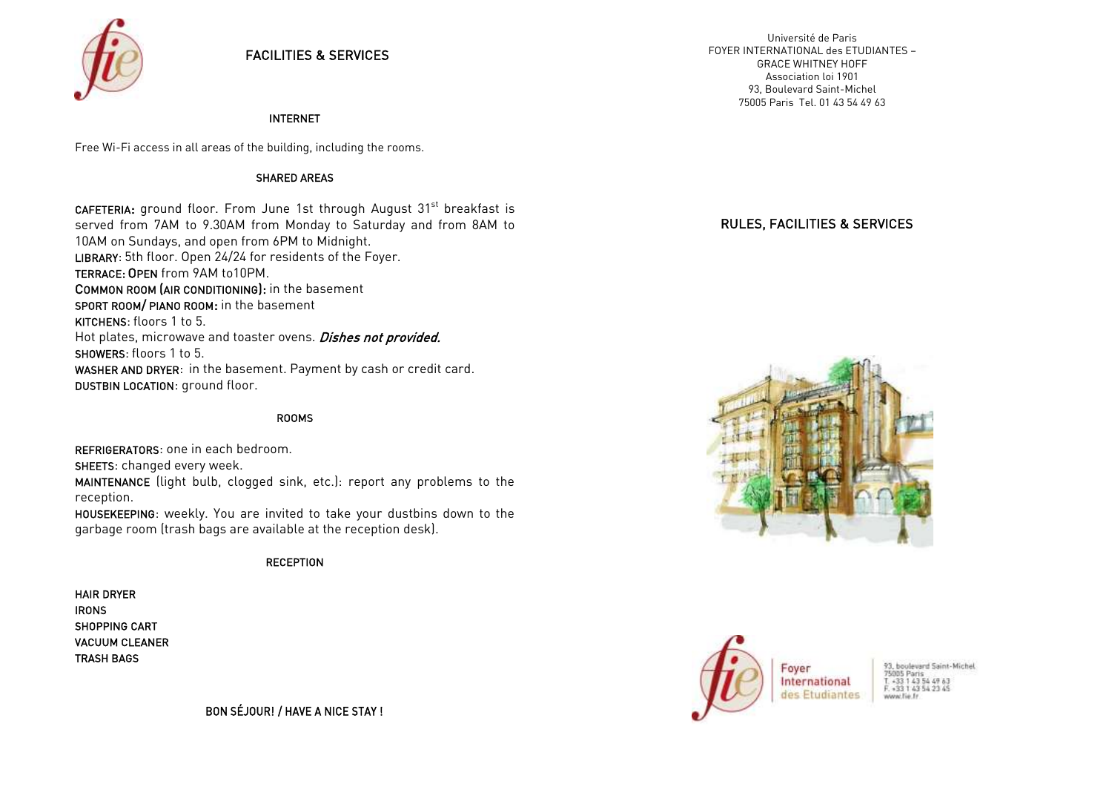

## FACILITIES & SERVICES

#### INTERNET

Free Wi-Fi access in all areas of the building, including the rooms.

#### SHARED AREAS

CAFETERIA: ground floor. From June 1st through August 31<sup>st</sup> breakfast is served from 7AM to 9.30AM from Monday to Saturday and from 8AM to 10AM on Sundays, and open from 6PM to Midnight. LIBRARY: 5th floor. Open 24/24 for residents of the Foyer. TERRACE: OPEN from 9AM to10PM. COMMON ROOM (AIR CONDITIONING): in the basement SPORT ROOM/ PIANO ROOM: in the basement KITCHENS: floors 1 to 5. Hot plates, microwave and toaster ovens. Dishes not provided. SHOWERS: floors 1 to 5. WASHER AND DRYER: in the basement. Payment by cash or credit card. DUSTBIN LOCATION: ground floor.

#### ROOMS

REFRIGERATORS: one in each bedroom. SHEETS: changed every week. MAINTENANCE (light bulb, clogged sink, etc.): report any problems to the

reception.

HOUSEKEEPING: weekly. You are invited to take your dustbins down to the garbage room (trash bags are available at the reception desk).

#### **RECEPTION**

HAIR DRYER IRONS SHOPPING CART VACUUM CLEANER TRASH BAGS

BON SÉJOUR! / HAVE A NICE STAY !

#### RULES, FACILITIES & SERVICES